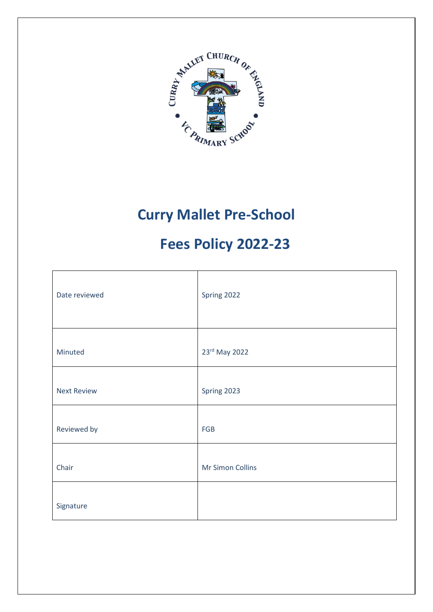

## **Curry Mallet Pre-School**

# **Fees Policy 2022-23**

| Date reviewed      | Spring 2022      |
|--------------------|------------------|
| Minuted            | 23rd May 2022    |
| <b>Next Review</b> | Spring 2023      |
| Reviewed by        | FGB              |
| Chair              | Mr Simon Collins |
| Signature          |                  |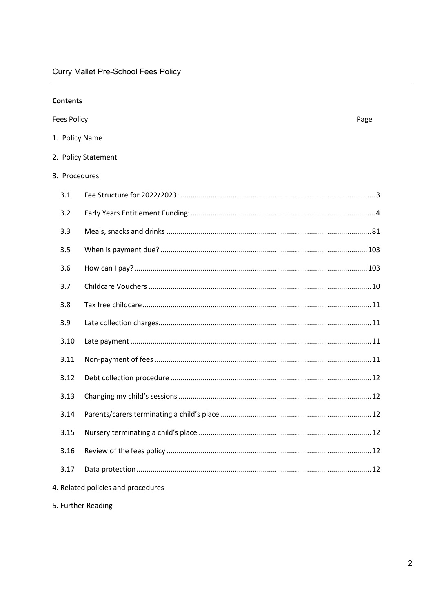| <b>Contents</b>    |                                    |      |
|--------------------|------------------------------------|------|
| <b>Fees Policy</b> |                                    | Page |
| 1. Policy Name     |                                    |      |
|                    | 2. Policy Statement                |      |
| 3. Procedures      |                                    |      |
| 3.1                |                                    |      |
| 3.2                |                                    |      |
| 3.3                |                                    |      |
| 3.5                |                                    |      |
| 3.6                |                                    |      |
| 3.7                |                                    |      |
| 3.8                |                                    |      |
| 3.9                |                                    |      |
| 3.10               |                                    |      |
| 3.11               |                                    |      |
| 3.12               |                                    |      |
| 3.13               |                                    |      |
| 3.14               |                                    |      |
| 3.15               |                                    |      |
| 3.16               |                                    |      |
| 3.17               |                                    |      |
|                    | 4. Related policies and procedures |      |

5. Further Reading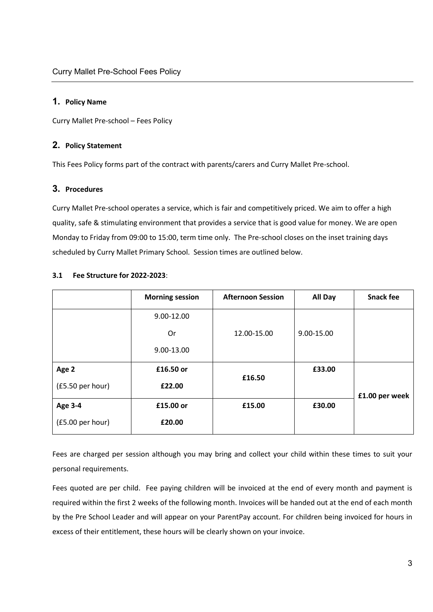## **1. Policy Name**

Curry Mallet Pre-school – Fees Policy

## **2. Policy Statement**

This Fees Policy forms part of the contract with parents/carers and Curry Mallet Pre-school.

## **3. Procedures**

Curry Mallet Pre-school operates a service, which is fair and competitively priced. We aim to offer a high quality, safe & stimulating environment that provides a service that is good value for money. We are open Monday to Friday from 09:00 to 15:00, term time only. The Pre-school closes on the inset training days scheduled by Curry Mallet Primary School. Session times are outlined below.

|                  | <b>Morning session</b> | <b>Afternoon Session</b> | <b>All Day</b> | <b>Snack fee</b> |
|------------------|------------------------|--------------------------|----------------|------------------|
|                  | 9.00-12.00             |                          |                |                  |
|                  | 0r                     | 12.00-15.00              | 9.00-15.00     |                  |
|                  | 9.00-13.00             |                          |                |                  |
| Age 2            | £16.50 or              |                          | £33.00         |                  |
| (£5.50 per hour) | £22.00                 | £16.50                   |                | £1.00 per week   |
| <b>Age 3-4</b>   | £15.00 or              | £15.00                   | £30.00         |                  |
| (£5.00 per hour) | £20.00                 |                          |                |                  |

## <span id="page-2-0"></span>**3.1 Fee Structure for 2022-2023**:

Fees are charged per session although you may bring and collect your child within these times to suit your personal requirements.

Fees quoted are per child. Fee paying children will be invoiced at the end of every month and payment is required within the first 2 weeks of the following month. Invoices will be handed out at the end of each month by the Pre School Leader and will appear on your ParentPay account. For children being invoiced for hours in excess of their entitlement, these hours will be clearly shown on your invoice.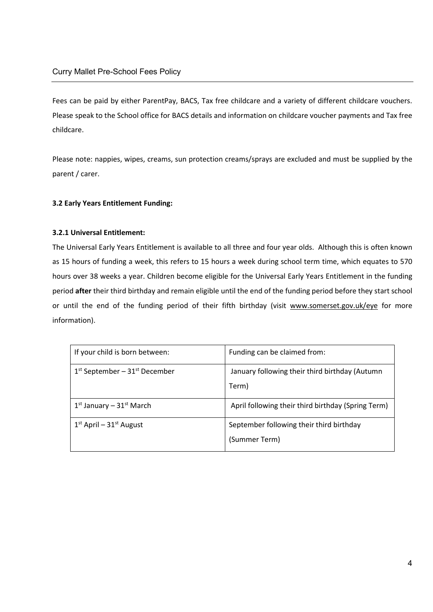Fees can be paid by either ParentPay, BACS, Tax free childcare and a variety of different childcare vouchers. Please speak to the School office for BACS details and information on childcare voucher payments and Tax free childcare.

<span id="page-3-0"></span>Please note: nappies, wipes, creams, sun protection creams/sprays are excluded and must be supplied by the parent / carer.

## **3.2 Early Years Entitlement Funding:**

## **3.2.1 Universal Entitlement:**

The Universal Early Years Entitlement is available to all three and four year olds. Although this is often known as 15 hours of funding a week, this refers to 15 hours a week during school term time, which equates to 570 hours over 38 weeks a year. Children become eligible for the Universal Early Years Entitlement in the funding period **after** their third birthday and remain eligible until the end of the funding period before they start school or until the end of the funding period of their fifth birthday (visit [www.somerset.gov.uk/eye](http://www.somerset.gov.uk/eye) for more information).

| If your child is born between:              | Funding can be claimed from:                              |
|---------------------------------------------|-----------------------------------------------------------|
| $1st$ September – 31 <sup>st</sup> December | January following their third birthday (Autumn<br>Term)   |
| $1st$ January – $31st$ March                | April following their third birthday (Spring Term)        |
| $1st$ April – $31st$ August                 | September following their third birthday<br>(Summer Term) |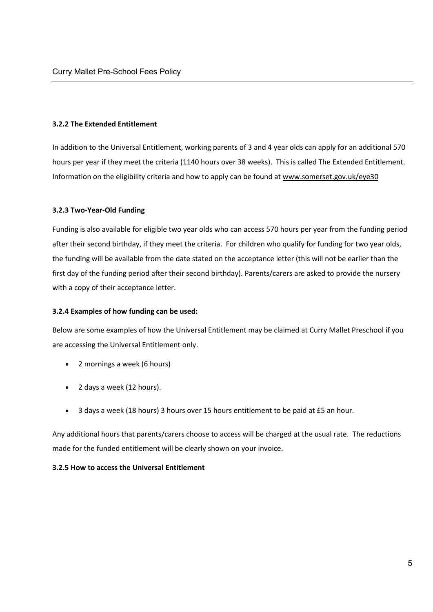#### **3.2.2 The Extended Entitlement**

In addition to the Universal Entitlement, working parents of 3 and 4 year olds can apply for an additional 570 hours per year if they meet the criteria (1140 hours over 38 weeks). This is called The Extended Entitlement. Information on the eligibility criteria and how to apply can be found at [www.somerset.gov.uk/eye30](http://www.somerset.gov.uk/eye30) 

## **3.2.3 Two-Year-Old Funding**

Funding is also available for eligible two year olds who can access 570 hours per year from the funding period after their second birthday, if they meet the criteria. For children who qualify for funding for two year olds, the funding will be available from the date stated on the acceptance letter (this will not be earlier than the first day of the funding period after their second birthday). Parents/carers are asked to provide the nursery with a copy of their acceptance letter.

#### **3.2.4 Examples of how funding can be used:**

Below are some examples of how the Universal Entitlement may be claimed at Curry Mallet Preschool if you are accessing the Universal Entitlement only.

- 2 mornings a week (6 hours)
- 2 days a week (12 hours).
- 3 days a week (18 hours) 3 hours over 15 hours entitlement to be paid at £5 an hour.

Any additional hours that parents/carers choose to access will be charged at the usual rate. The reductions made for the funded entitlement will be clearly shown on your invoice.

#### **3.2.5 How to access the Universal Entitlement**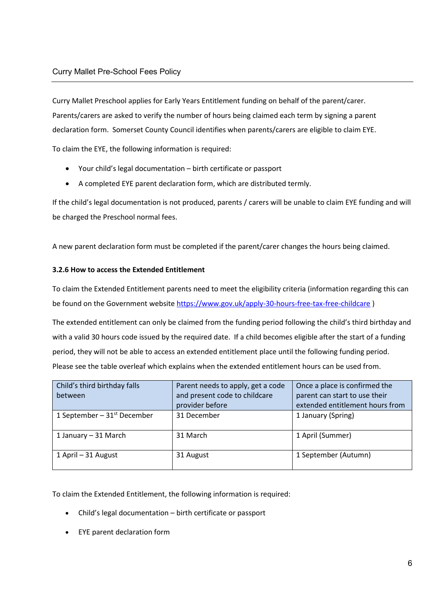Curry Mallet Preschool applies for Early Years Entitlement funding on behalf of the parent/carer. Parents/carers are asked to verify the number of hours being claimed each term by signing a parent declaration form. Somerset County Council identifies when parents/carers are eligible to claim EYE.

To claim the EYE, the following information is required:

- Your child's legal documentation birth certificate or passport
- A completed EYE parent declaration form, which are distributed termly.

If the child's legal documentation is not produced, parents / carers will be unable to claim EYE funding and will be charged the Preschool normal fees.

A new parent declaration form must be completed if the parent/carer changes the hours being claimed.

## **3.2.6 How to access the Extended Entitlement**

To claim the Extended Entitlement parents need to meet the eligibility criteria (information regarding this can be found on the Government website [https://www.gov.uk/apply-30-hours-free-tax-free-childcare \)](https://www.gov.uk/apply-30-hours-free-tax-free-childcare)

The extended entitlement can only be claimed from the funding period following the child's third birthday and with a valid 30 hours code issued by the required date. If a child becomes eligible after the start of a funding period, they will not be able to access an extended entitlement place until the following funding period. Please see the table overleaf which explains when the extended entitlement hours can be used from.

| Child's third birthday falls  | Parent needs to apply, get a code | Once a place is confirmed the   |
|-------------------------------|-----------------------------------|---------------------------------|
| between                       | and present code to childcare     | parent can start to use their   |
|                               | provider before                   | extended entitlement hours from |
| 1 September – $31st$ December | 31 December                       | 1 January (Spring)              |
| 1 January – 31 March          | 31 March                          | 1 April (Summer)                |
| 1 April – 31 August           | 31 August                         | 1 September (Autumn)            |

To claim the Extended Entitlement, the following information is required:

- Child's legal documentation birth certificate or passport
- EYE parent declaration form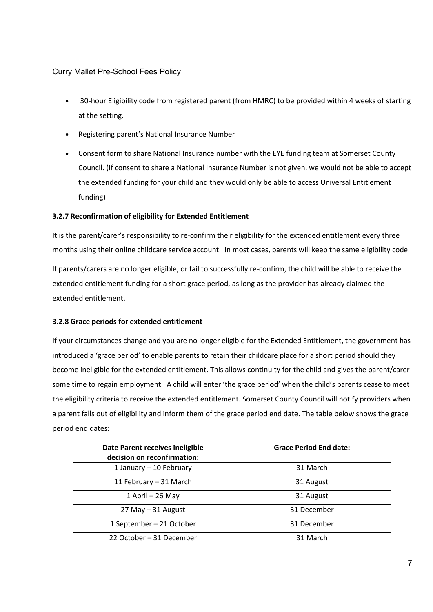- 30-hour Eligibility code from registered parent (from HMRC) to be provided within 4 weeks of starting at the setting.
- Registering parent's National Insurance Number
- Consent form to share National Insurance number with the EYE funding team at Somerset County Council. (If consent to share a National Insurance Number is not given, we would not be able to accept the extended funding for your child and they would only be able to access Universal Entitlement funding)

## **3.2.7 Reconfirmation of eligibility for Extended Entitlement**

It is the parent/carer's responsibility to re-confirm their eligibility for the extended entitlement every three months using their online childcare service account. In most cases, parents will keep the same eligibility code.

If parents/carers are no longer eligible, or fail to successfully re-confirm, the child will be able to receive the extended entitlement funding for a short grace period, as long as the provider has already claimed the extended entitlement.

## **3.2.8 Grace periods for extended entitlement**

If your circumstances change and you are no longer eligible for the Extended Entitlement, the government has introduced a 'grace period' to enable parents to retain their childcare place for a short period should they become ineligible for the extended entitlement. This allows continuity for the child and gives the parent/carer some time to regain employment. A child will enter 'the grace period' when the child's parents cease to meet the eligibility criteria to receive the extended entitlement. Somerset County Council will notify providers when a parent falls out of eligibility and inform them of the grace period end date. The table below shows the grace period end dates:

| Date Parent receives ineligible<br>decision on reconfirmation: | <b>Grace Period End date:</b> |
|----------------------------------------------------------------|-------------------------------|
| 1 January - 10 February                                        | 31 March                      |
| 11 February - 31 March                                         | 31 August                     |
| 1 April - 26 May                                               | 31 August                     |
| $27$ May $-31$ August                                          | 31 December                   |
| 1 September - 21 October                                       | 31 December                   |
| 22 October - 31 December                                       | 31 March                      |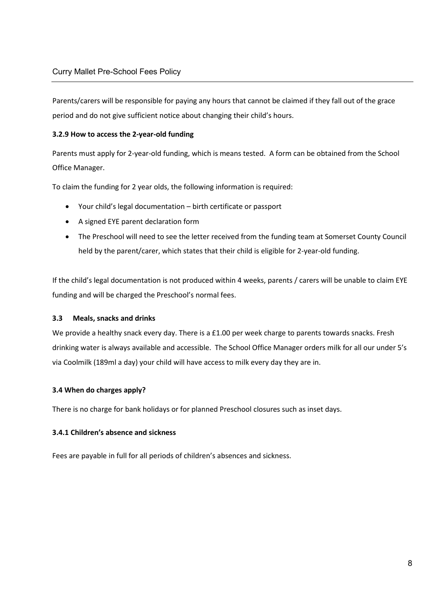Parents/carers will be responsible for paying any hours that cannot be claimed if they fall out of the grace period and do not give sufficient notice about changing their child's hours.

## **3.2.9 How to access the 2-year-old funding**

Parents must apply for 2-year-old funding, which is means tested. A form can be obtained from the School Office Manager.

To claim the funding for 2 year olds, the following information is required:

- Your child's legal documentation birth certificate or passport
- A signed EYE parent declaration form
- The Preschool will need to see the letter received from the funding team at Somerset County Council held by the parent/carer, which states that their child is eligible for 2-year-old funding.

If the child's legal documentation is not produced within 4 weeks, parents / carers will be unable to claim EYE funding and will be charged the Preschool's normal fees.

## <span id="page-7-0"></span>**3.3 Meals, snacks and drinks**

We provide a healthy snack every day. There is a £1.00 per week charge to parents towards snacks. Fresh drinking water is always available and accessible. The School Office Manager orders milk for all our under 5's via Coolmilk (189ml a day) your child will have access to milk every day they are in.

## **3.4 When do charges apply?**

There is no charge for bank holidays or for planned Preschool closures such as inset days.

## **3.4.1 Children's absence and sickness**

Fees are payable in full for all periods of children's absences and sickness.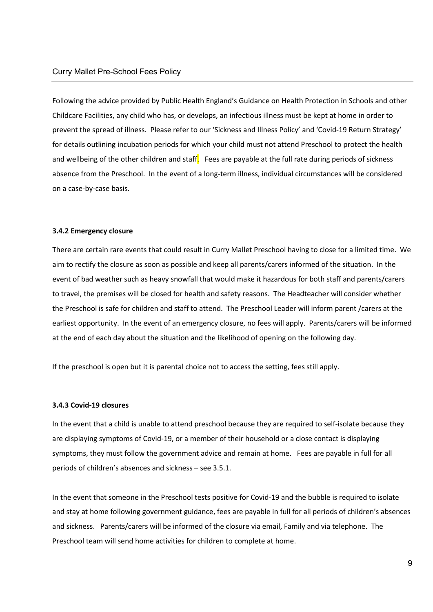Following the advice provided by Public Health England's Guidance on Health Protection in Schools and other Childcare Facilities, any child who has, or develops, an infectious illness must be kept at home in order to prevent the spread of illness. Please refer to our 'Sickness and Illness Policy' and 'Covid-19 Return Strategy' for details outlining incubation periods for which your child must not attend Preschool to protect the health and wellbeing of the other children and staff. Fees are payable at the full rate during periods of sickness absence from the Preschool. In the event of a long-term illness, individual circumstances will be considered on a case-by-case basis.

#### **3.4.2 Emergency closure**

There are certain rare events that could result in Curry Mallet Preschool having to close for a limited time. We aim to rectify the closure as soon as possible and keep all parents/carers informed of the situation. In the event of bad weather such as heavy snowfall that would make it hazardous for both staff and parents/carers to travel, the premises will be closed for health and safety reasons. The Headteacher will consider whether the Preschool is safe for children and staff to attend. The Preschool Leader will inform parent /carers at the earliest opportunity. In the event of an emergency closure, no fees will apply. Parents/carers will be informed at the end of each day about the situation and the likelihood of opening on the following day.

If the preschool is open but it is parental choice not to access the setting, fees still apply.

#### **3.4.3 Covid-19 closures**

In the event that a child is unable to attend preschool because they are required to self-isolate because they are displaying symptoms of Covid-19, or a member of their household or a close contact is displaying symptoms, they must follow the government advice and remain at home. Fees are payable in full for all periods of children's absences and sickness – see 3.5.1.

In the event that someone in the Preschool tests positive for Covid-19 and the bubble is required to isolate and stay at home following government guidance, fees are payable in full for all periods of children's absences and sickness. Parents/carers will be informed of the closure via email, Family and via telephone. The Preschool team will send home activities for children to complete at home.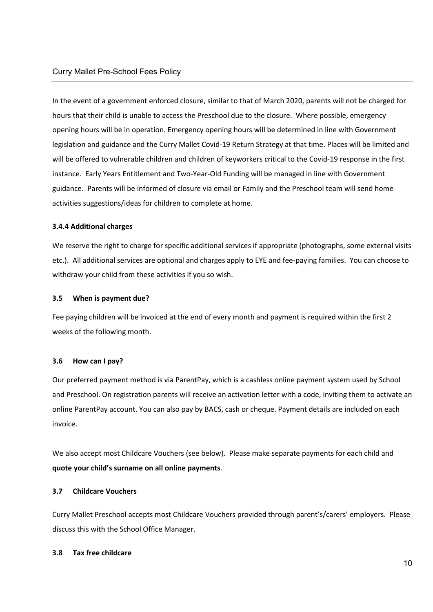In the event of a government enforced closure, similar to that of March 2020, parents will not be charged for hours that their child is unable to access the Preschool due to the closure. Where possible, emergency opening hours will be in operation. Emergency opening hours will be determined in line with Government legislation and guidance and the Curry Mallet Covid-19 Return Strategy at that time. Places will be limited and will be offered to vulnerable children and children of keyworkers critical to the Covid-19 response in the first instance. Early Years Entitlement and Two-Year-Old Funding will be managed in line with Government guidance. Parents will be informed of closure via email or Family and the Preschool team will send home activities suggestions/ideas for children to complete at home.

## **3.4.4 Additional charges**

We reserve the right to charge for specific additional services if appropriate (photographs, some external visits etc.). All additional services are optional and charges apply to EYE and fee-paying families. You can choose to withdraw your child from these activities if you so wish.

## <span id="page-9-0"></span>**3.5 When is payment due?**

Fee paying children will be invoiced at the end of every month and payment is required within the first 2 weeks of the following month.

#### <span id="page-9-1"></span>**3.6 How can I pay?**

Our preferred payment method is via ParentPay, which is a cashless online payment system used by School and Preschool. On registration parents will receive an activation letter with a code, inviting them to activate an online ParentPay account. You can also pay by BACS, cash or cheque. Payment details are included on each invoice.

We also accept most Childcare Vouchers (see below). Please make separate payments for each child and **quote your child's surname on all online payments**.

#### <span id="page-9-2"></span>**3.7 Childcare Vouchers**

Curry Mallet Preschool accepts most Childcare Vouchers provided through parent's/carers' employers. Please discuss this with the School Office Manager.

#### **3.8 Tax free childcare**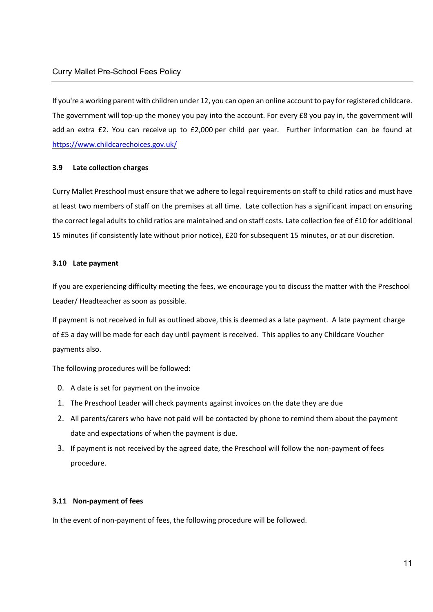If you're a working parent with children under 12, you can open an online account to pay for registered childcare. The government will top-up the money you pay into the account. For every £8 you pay in, the government will add an extra £2. You can receive up to £2,000 per child per year. Further information can be found at <https://www.childcarechoices.gov.uk/>

## <span id="page-10-1"></span><span id="page-10-0"></span>**3.9 Late collection charges**

Curry Mallet Preschool must ensure that we adhere to legal requirements on staff to child ratios and must have at least two members of staff on the premises at all time. Late collection has a significant impact on ensuring the correct legal adults to child ratios are maintained and on staff costs. Late collection fee of £10 for additional 15 minutes (if consistently late without prior notice), £20 for subsequent 15 minutes, or at our discretion.

## <span id="page-10-2"></span>**3.10 Late payment**

If you are experiencing difficulty meeting the fees, we encourage you to discuss the matter with the Preschool Leader/ Headteacher as soon as possible.

If payment is not received in full as outlined above, this is deemed as a late payment. A late payment charge of £5 a day will be made for each day until payment is received. This applies to any Childcare Voucher payments also.

The following procedures will be followed:

- 0. A date is set for payment on the invoice
- 1. The Preschool Leader will check payments against invoices on the date they are due
- 2. All parents/carers who have not paid will be contacted by phone to remind them about the payment date and expectations of when the payment is due.
- 3. If payment is not received by the agreed date, the Preschool will follow the non-payment of fees procedure.

## <span id="page-10-3"></span>**3.11 Non-payment of fees**

In the event of non-payment of fees, the following procedure will be followed.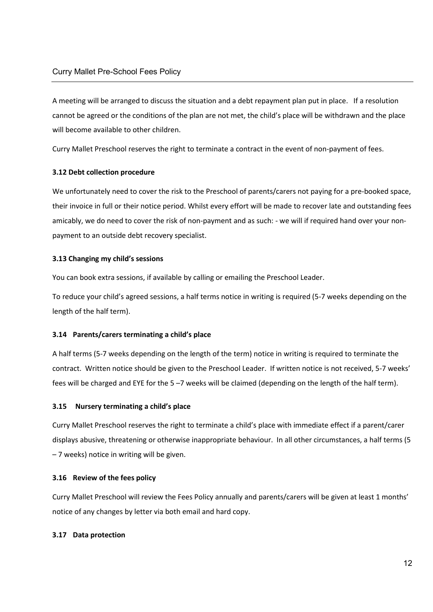A meeting will be arranged to discuss the situation and a debt repayment plan put in place. If a resolution cannot be agreed or the conditions of the plan are not met, the child's place will be withdrawn and the place will become available to other children.

Curry Mallet Preschool reserves the right to terminate a contract in the event of non-payment of fees.

## <span id="page-11-0"></span>**3.12 Debt collection procedure**

We unfortunately need to cover the risk to the Preschool of parents/carers not paying for a pre-booked space, their invoice in full or their notice period. Whilst every effort will be made to recover late and outstanding fees amicably, we do need to cover the risk of non-payment and as such: - we will if required hand over your nonpayment to an outside debt recovery specialist.

## <span id="page-11-1"></span>**3.13 Changing my child's sessions**

You can book extra sessions, if available by calling or emailing the Preschool Leader.

To reduce your child's agreed sessions, a half terms notice in writing is required (5-7 weeks depending on the length of the half term).

#### <span id="page-11-2"></span>**3.14 Parents/carers terminating a child's place**

A half terms (5-7 weeks depending on the length of the term) notice in writing is required to terminate the contract. Written notice should be given to the Preschool Leader. If written notice is not received, 5-7 weeks' fees will be charged and EYE for the 5 –7 weeks will be claimed (depending on the length of the half term).

#### <span id="page-11-3"></span>**3.15 Nursery terminating a child's place**

Curry Mallet Preschool reserves the right to terminate a child's place with immediate effect if a parent/carer displays abusive, threatening or otherwise inappropriate behaviour. In all other circumstances, a half terms (5 – 7 weeks) notice in writing will be given.

#### <span id="page-11-4"></span>**3.16 Review of the fees policy**

Curry Mallet Preschool will review the Fees Policy annually and parents/carers will be given at least 1 months' notice of any changes by letter via both email and hard copy.

#### <span id="page-11-5"></span>**3.17 Data protection**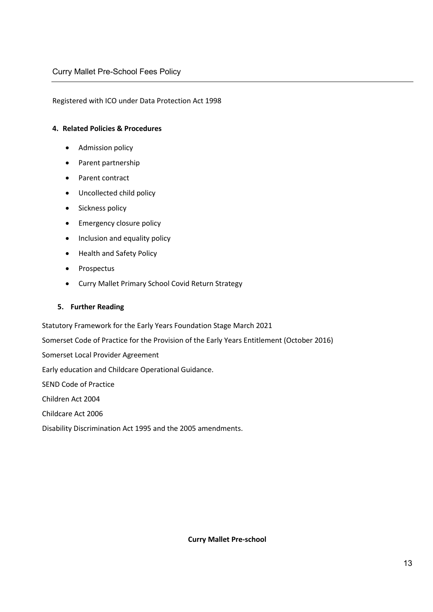## Registered with ICO under Data Protection Act 1998

#### **4. Related Policies & Procedures**

- Admission policy
- Parent partnership
- Parent contract
- Uncollected child policy
- Sickness policy
- Emergency closure policy
- Inclusion and equality policy
- Health and Safety Policy
- Prospectus
- Curry Mallet Primary School Covid Return Strategy

#### **5. Further Reading**

Statutory Framework for the Early Years Foundation Stage March 2021

Somerset Code of Practice for the Provision of the Early Years Entitlement (October 2016)

Somerset Local Provider Agreement

Early education and Childcare Operational Guidance.

SEND Code of Practice

Children Act 2004

Childcare Act 2006

Disability Discrimination Act 1995 and the 2005 amendments.

**Curry Mallet Pre-school**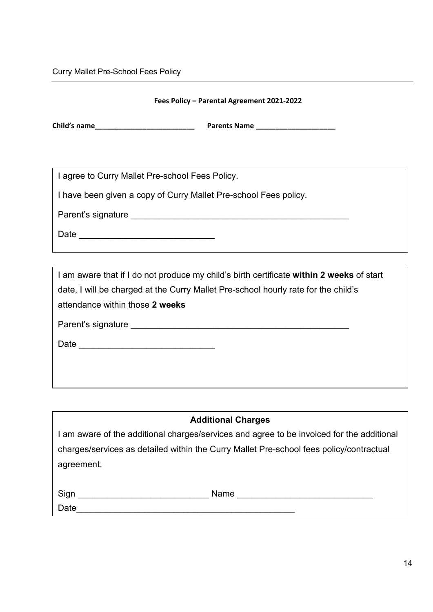## Curry Mallet Pre-School Fees Policy

## **Fees Policy – Parental Agreement 2021-2022**

**Child's name** <br> **Parents Name** 

I agree to Curry Mallet Pre-school Fees Policy.

I have been given a copy of Curry Mallet Pre-school Fees policy.

Parent's signature extending the state of the state of the state of the state of the state of the state of the state of the state of the state of the state of the state of the state of the state of the state of the state o

 $Date$   $\Box$ 

I am aware that if I do not produce my child's birth certificate **within 2 weeks** of start date, I will be charged at the Curry Mallet Pre-school hourly rate for the child's attendance within those **2 weeks**

Parent's signature \_\_\_\_\_\_\_\_\_\_\_\_\_\_\_\_\_\_\_\_\_\_\_\_\_\_\_\_\_\_\_\_\_\_\_\_\_\_\_\_\_\_\_\_\_

Date \_\_\_\_\_\_\_\_\_\_\_\_\_\_\_\_\_\_\_\_\_\_\_\_\_\_\_\_

## **Additional Charges**

I am aware of the additional charges/services and agree to be invoiced for the additional charges/services as detailed within the Curry Mallet Pre-school fees policy/contractual agreement.

Sign \_\_\_\_\_\_\_\_\_\_\_\_\_\_\_\_\_\_\_\_\_\_\_\_\_\_\_ Name \_\_\_\_\_\_\_\_\_\_\_\_\_\_\_\_\_\_\_\_\_\_\_\_\_\_\_\_

Date\_\_\_\_\_\_\_\_\_\_\_\_\_\_\_\_\_\_\_\_\_\_\_\_\_\_\_\_\_\_\_\_\_\_\_\_\_\_\_\_\_\_\_\_\_